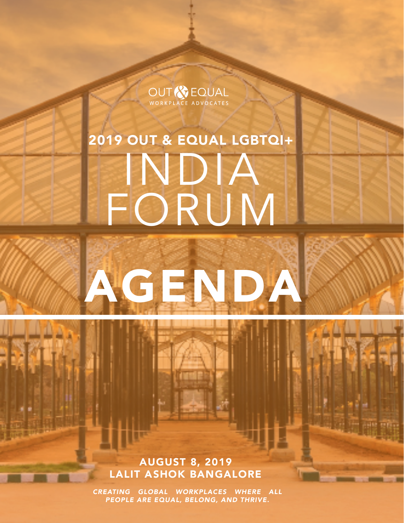**OUT & EQUAL**<br>WORKPLACE ADVOCATES

# 2019 OUT & EQUAL LGBTQI+ INDIA FORUM

AGENDA

AUGUST 8, 2019 LALIT ASHOK BANGALORE

*CREATING GLOBAL WORKPLACES WHERE ALL PEOPLE ARE EQUAL, BELONG, AND THRIVE.*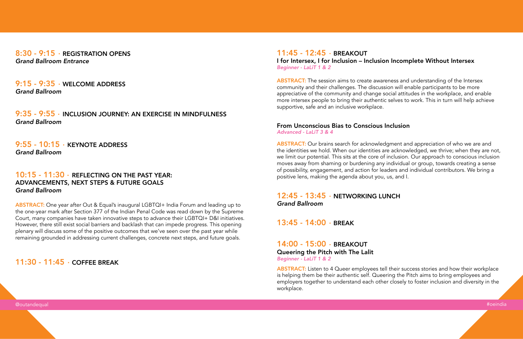$8:30 - 9:15$  · REGISTRATION OPENS *Grand Ballroom Entrance*

 $9:55 - 10:15$  · KEYNOTE ADDRESS *Grand Ballroom*

9:15 - 9:35 WELCOME ADDRESS *Grand Ballroom*

# 10:15 - 11:30 · REFLECTING ON THE PAST YEAR: ADVANCEMENTS, NEXT STEPS & FUTURE GOALS *Grand Ballroom*

9:35 - 9:55 · INCLUSION JOURNEY: AN EXERCISE IN MINDFULNESS *Grand Ballroom*

> 12:45 - 13:45 · NETWORKING LUNCH *Grand Ballroom*

 $13:45 - 14:00$  BREAK

14:00 - 15:00 · BREAKOUT Queering the Pitch with The Lalit *Beginner - LaLiT 1 & 2*

 $11:45 - 12:45 - BREAKOUT$ I for Intersex, I for Inclusion – Inclusion Incomplete Without Intersex *Beginner - LaLiT 1 & 2*

ABSTRACT: One year after Out & Equal's inaugural LGBTQI+ India Forum and leading up to the one-year mark after Section 377 of the Indian Penal Code was read down by the Supreme Court, many companies have taken innovative steps to advance their LGBTQI+ D&I initiatives. However, there still exist social barriers and backlash that can impede progress. This opening plenary will discuss some of the positive outcomes that we've seen over the past year while remaining grounded in addressing current challenges, concrete next steps, and future goals.

# 11:30 - 11:45 · COFFEE BREAK

**ABSTRACT:** The session aims to create awareness and understanding of the Intersex community and their challenges. The discussion will enable participants to be more appreciative of the community and change social attitudes in the workplace, and enable more intersex people to bring their authentic selves to work. This in turn will help achieve supportive, safe and an inclusive workplace.

@outandequal #oeindia

ABSTRACT: Listen to 4 Queer employees tell their success stories and how their workplace is helping them be their authentic self. Queering the Pitch aims to bring employees and employers together to understand each other closely to foster inclusion and diversity in the workplace.

From Unconscious Bias to Conscious Inclusion *Advanced - LaLiT 3 & 4*

ABSTRACT: Our brains search for acknowledgment and appreciation of who we are and the identities we hold. When our identities are acknowledged, we thrive; when they are not, we limit our potential. This sits at the core of inclusion. Our approach to conscious inclusion moves away from shaming or burdening any individual or group, towards creating a sense of possibility, engagement, and action for leaders and individual contributors. We bring a positive lens, making the agenda about you, us, and I.